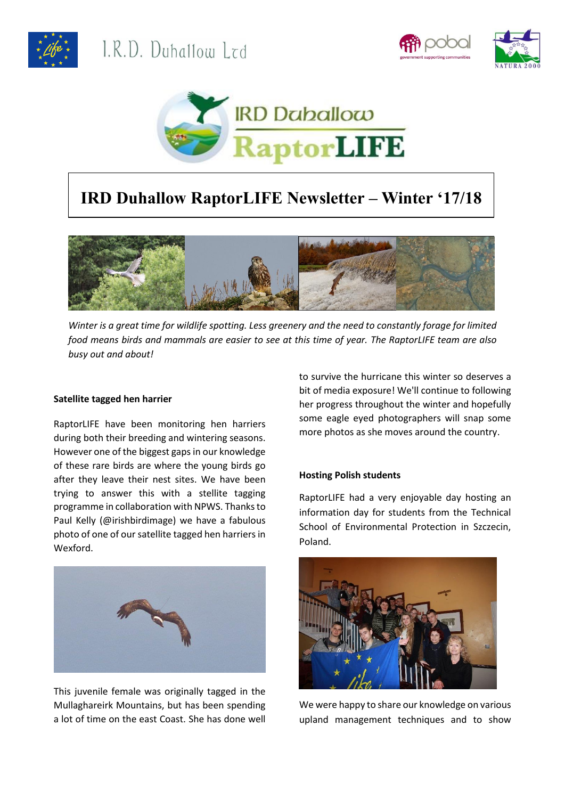





# **IRD Duhallow RaptorLIFE Newsletter – Winter '17/18**



*Winter is a great time for wildlife spotting. Less greenery and the need to constantly forage for limited food means birds and mammals are easier to see at this time of year. The RaptorLIFE team are also busy out and about!*

### **Satellite tagged hen harrier**

RaptorLIFE have been monitoring hen harriers during both their breeding and wintering seasons. However one of the biggest gaps in our knowledge of these rare birds are where the young birds go after they leave their nest sites. We have been trying to answer this with a stellite tagging programme in collaboration with NPWS. Thanks to Paul Kelly (@irishbirdimage) we have a fabulous photo of one of our satellite tagged hen harriers in Wexford.



This juvenile female was originally tagged in the Mullaghareirk Mountains, but has been spending a lot of time on the east Coast. She has done well to survive the hurricane this winter so deserves a bit of media exposure! We'll continue to following her progress throughout the winter and hopefully some eagle eyed photographers will snap some more photos as she moves around the country.

## **Hosting Polish students**

RaptorLIFE had a very enjoyable day hosting an information day for students from the Technical School of Environmental Protection in Szczecin, Poland.



We were happy to share our knowledge on various upland management techniques and to show